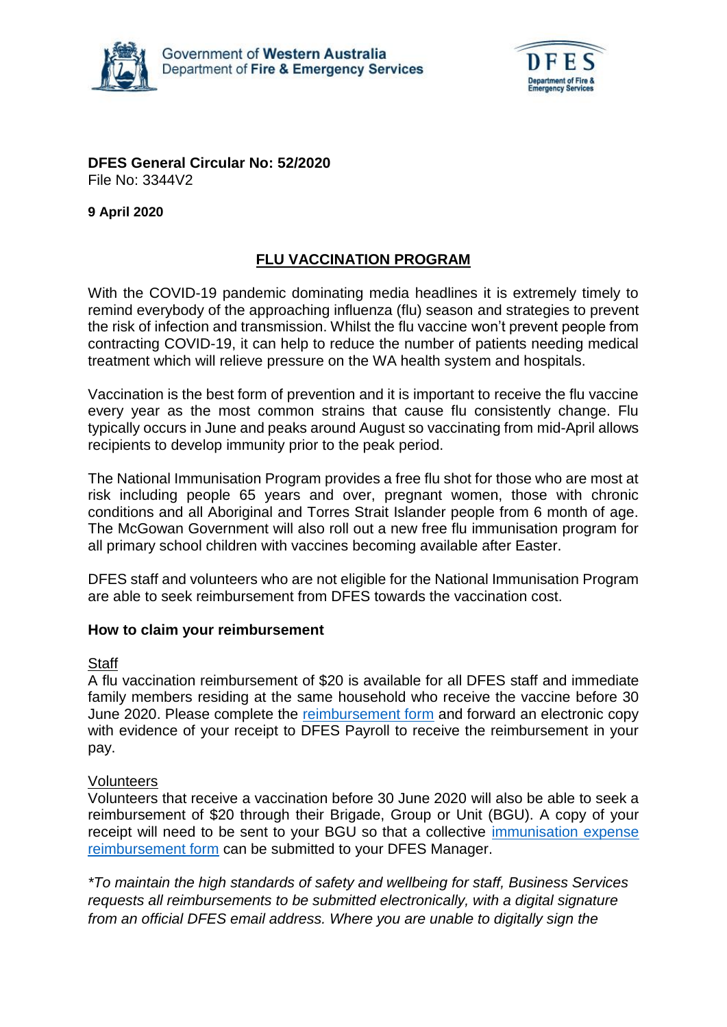



#### **DFES General Circular No: 52/2020** File No: 3344V2

**9 April 2020**

# **FLU VACCINATION PROGRAM**

With the COVID-19 pandemic dominating media headlines it is extremely timely to remind everybody of the approaching influenza (flu) season and strategies to prevent the risk of infection and transmission. Whilst the flu vaccine won't prevent people from contracting COVID-19, it can help to reduce the number of patients needing medical treatment which will relieve pressure on the WA health system and hospitals.

Vaccination is the best form of prevention and it is important to receive the flu vaccine every year as the most common strains that cause flu consistently change. Flu typically occurs in June and peaks around August so vaccinating from mid-April allows recipients to develop immunity prior to the peak period.

The National Immunisation Program provides a free flu shot for those who are most at risk including people 65 years and over, pregnant women, those with chronic conditions and all Aboriginal and Torres Strait Islander people from 6 month of age. The McGowan Government will also roll out a new free flu immunisation program for all primary school children with vaccines becoming available after Easter.

DFES staff and volunteers who are not eligible for the National Immunisation Program are able to seek reimbursement from DFES towards the vaccination cost.

## **How to claim your reimbursement**

## **Staff**

A flu vaccination reimbursement of \$20 is available for all DFES staff and immediate family members residing at the same household who receive the vaccine before 30 June 2020. Please complete the [reimbursement form](https://shared.dfes.wa.gov.au/forms/humanresources/HR036-Reimbursement-for-Influenza-Vaccination.pdf) and forward an electronic copy with evidence of your receipt to DFES Payroll to receive the reimbursement in your pay.

## Volunteers

Volunteers that receive a vaccination before 30 June 2020 will also be able to seek a reimbursement of \$20 through their Brigade, Group or Unit (BGU). A copy of your receipt will need to be sent to your BGU so that a collective [immunisation expense](https://shared.dfes.wa.gov.au/forms/humanresources/Volunteers-Immunisation-Expense-Reimbursement.pdf)  [reimbursement form](https://shared.dfes.wa.gov.au/forms/humanresources/Volunteers-Immunisation-Expense-Reimbursement.pdf) can be submitted to your DFES Manager.

*\*To maintain the high standards of safety and wellbeing for staff, Business Services requests all reimbursements to be submitted electronically, with a digital signature from an official DFES email address. Where you are unable to digitally sign the*